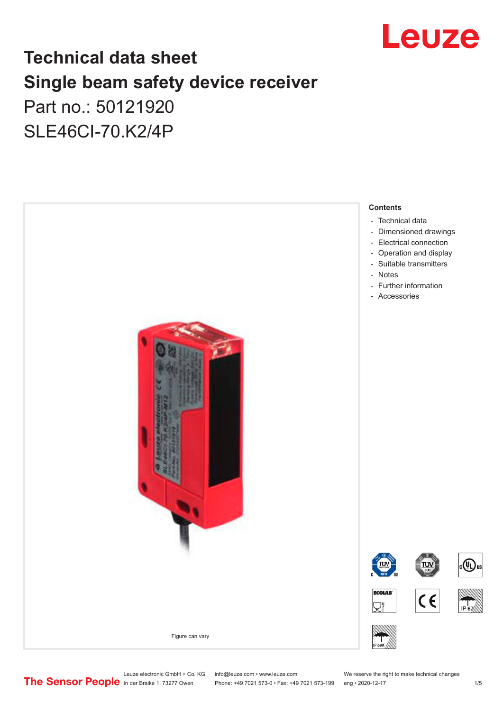

# **Technical data sheet Single beam safety device receiver** Part no.: 50121920

SLE46CI-70.K2/4P



Leuze electronic GmbH + Co. KG info@leuze.com • www.leuze.com We reserve the right to make technical changes<br>
The Sensor People in der Braike 1, 73277 Owen Phone: +49 7021 573-0 • Fax: +49 7021 573-199 eng • 2020-12-17

Phone: +49 7021 573-0 • Fax: +49 7021 573-199 eng • 2020-12-17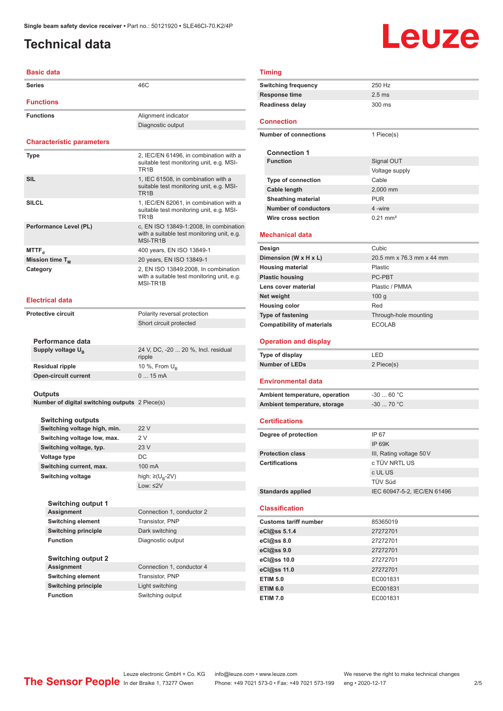# <span id="page-1-0"></span>**Technical data**

# Leuze

#### **Basic data**

| <b>Basic data</b>                              |                                                                                                         |
|------------------------------------------------|---------------------------------------------------------------------------------------------------------|
| <b>Series</b>                                  | 46C                                                                                                     |
| <b>Functions</b>                               |                                                                                                         |
| <b>Functions</b>                               | Alignment indicator                                                                                     |
|                                                | Diagnostic output                                                                                       |
|                                                |                                                                                                         |
| <b>Characteristic parameters</b>               |                                                                                                         |
| <b>Type</b>                                    | 2, IEC/EN 61496, in combination with a<br>suitable test monitoring unit, e.g. MSI-<br>TR <sub>1</sub> B |
| SIL                                            | 1, IEC 61508, in combination with a<br>suitable test monitoring unit, e.g. MSI-<br>TR <sub>1</sub> B    |
| <b>SILCL</b>                                   | 1, IEC/EN 62061, in combination with a<br>suitable test monitoring unit, e.g. MSI-<br>TR <sub>1</sub> B |
| Performance Level (PL)                         | c, EN ISO 13849-1:2008, In combination<br>with a suitable test monitoring unit, e.g.<br>MSI-TR1B        |
| MTTF <sub>a</sub>                              | 400 years, EN ISO 13849-1                                                                               |
| Mission time T <sub>M</sub>                    | 20 years, EN ISO 13849-1                                                                                |
| Category                                       | 2, EN ISO 13849:2008, In combination<br>with a suitable test monitoring unit, e.g.<br>MSI-TR1B          |
| <b>Electrical data</b>                         |                                                                                                         |
| <b>Protective circuit</b>                      | Polarity reversal protection                                                                            |
|                                                | Short circuit protected                                                                                 |
|                                                |                                                                                                         |
| Performance data                               |                                                                                                         |
| Supply voltage $U_{B}$                         | 24 V, DC, -20  20 %, Incl. residual<br>ripple                                                           |
| Residual ripple                                | 10 %, From $U_{\rm R}$                                                                                  |
| <b>Open-circuit current</b>                    | 015mA                                                                                                   |
|                                                |                                                                                                         |
| Outputs                                        |                                                                                                         |
| Number of digital switching outputs 2 Piece(s) |                                                                                                         |
| <b>Switching outputs</b>                       |                                                                                                         |
| Switching voltage high, min.                   | 22 V                                                                                                    |
| Switching voltage low, max.                    | 2 V                                                                                                     |
| Switching voltage, typ.                        | 23 V                                                                                                    |
| Voltage type                                   | DC                                                                                                      |
| Switching current, max.                        | 100 mA                                                                                                  |
| Switching voltage                              | high: $\geq (U_{B} - 2V)$                                                                               |
|                                                | Low: $\leq 2V$                                                                                          |
|                                                |                                                                                                         |
| <b>Switching output 1</b><br><b>Assignment</b> | Connection 1, conductor 2                                                                               |
| <b>Switching element</b>                       | Transistor, PNP                                                                                         |
| <b>Switching principle</b>                     | Dark switching                                                                                          |
| <b>Function</b>                                | Diagnostic output                                                                                       |
|                                                |                                                                                                         |
| <b>Switching output 2</b>                      |                                                                                                         |
| <b>Assignment</b>                              | Connection 1, conductor 4                                                                               |
| <b>Switching element</b>                       | Transistor, PNP                                                                                         |
| <b>Switching principle</b>                     | Light switching                                                                                         |
| <b>Function</b>                                | Switching output                                                                                        |

| <b>Timing</b>                      |                             |
|------------------------------------|-----------------------------|
| <b>Switching frequency</b>         | 250 Hz                      |
| <b>Response time</b>               | $2.5$ ms                    |
| <b>Readiness delay</b>             | 300 ms                      |
| <b>Connection</b>                  |                             |
|                                    |                             |
| <b>Number of connections</b>       | 1 Piece(s)                  |
| <b>Connection 1</b>                |                             |
| <b>Function</b>                    | Signal OUT                  |
|                                    | Voltage supply              |
| Type of connection                 | Cable                       |
| <b>Cable length</b>                | 2,000 mm                    |
| <b>Sheathing material</b>          | <b>PUR</b>                  |
| <b>Number of conductors</b>        | 4-wire                      |
| Wire cross section                 | $0.21 \text{ mm}^2$         |
|                                    |                             |
| <b>Mechanical data</b>             |                             |
| Design                             | Cubic                       |
| Dimension (W x H x L)              | 20.5 mm x 76.3 mm x 44 mm   |
| <b>Housing material</b>            | Plastic                     |
| <b>Plastic housing</b>             | PC-PBT                      |
| Lens cover material                | Plastic / PMMA              |
| Net weight                         | 100 <sub>g</sub>            |
| <b>Housing color</b>               | Red                         |
| <b>Type of fastening</b>           | Through-hole mounting       |
| <b>Compatibility of materials</b>  | <b>ECOLAB</b>               |
|                                    |                             |
| <b>Operation and display</b>       |                             |
| Type of display                    | LED                         |
| <b>Number of LEDs</b>              | 2 Piece(s)                  |
|                                    |                             |
| <b>Environmental data</b>          |                             |
| Ambient temperature, operation     | $-30$ 60 °C                 |
| Ambient temperature, storage       | -30  70 °C                  |
|                                    |                             |
| <b>Certifications</b>              |                             |
| Degree of protection               | IP 67                       |
|                                    | <b>IP 69K</b>               |
| <b>Protection class</b>            | III, Rating voltage 50 V    |
| <b>Certifications</b>              | c TÜV NRTL US               |
|                                    | c UL US                     |
|                                    | TÜV Süd                     |
| <b>Standards applied</b>           | IEC 60947-5-2, IEC/EN 61496 |
| <b>Classification</b>              |                             |
| <b>Customs tariff number</b>       | 85365019                    |
| eCl@ss 5.1.4                       | 27272701                    |
| eCl@ss 8.0                         | 27272701                    |
| eCl@ss 9.0                         | 27272701                    |
| eCl@ss 10.0                        | 27272701                    |
| eCl@ss 11.0                        | 27272701                    |
| <b>ETIM 5.0</b>                    | EC001831                    |
| <b>ETIM 6.0</b><br><b>ETIM 7.0</b> | EC001831<br>EC001831        |

EDIZE BRAINING SINGLET ON MEDICAL SECTION CONTROL THOMAS CONTROVERS ON MEDICAL STRAINING UNIVERSIDE IN THE SECTION OF THE PRINCIPLE IN DIRECTION OF THE PRINCIPLE IN DIRECTION OF THE PRINCIPLE IN THE SECTION OF THE PRINCIPL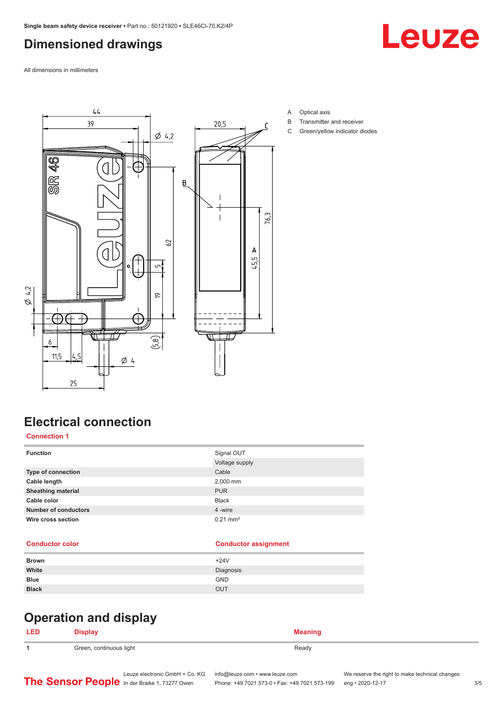## <span id="page-2-0"></span>**Dimensioned drawings**

Leuze

All dimensions in millimeters



- A Optical axis
- B Transmitter and receiver
- C Green/yellow indicator diodes

## **Electrical connection**

#### **Connection 1**

| <b>Function</b>             | Signal OUT          |
|-----------------------------|---------------------|
|                             | Voltage supply      |
| <b>Type of connection</b>   | Cable               |
| Cable length                | 2,000 mm            |
| <b>Sheathing material</b>   | <b>PUR</b>          |
| Cable color                 | <b>Black</b>        |
| <b>Number of conductors</b> | 4 -wire             |
| Wire cross section          | $0.21 \text{ mm}^2$ |

#### **Conductor color Conductor assignment**

| <b>Brown</b> | $+24V$     |
|--------------|------------|
| White        | Diagnosis  |
| <b>Blue</b>  | <b>GND</b> |
| <b>Black</b> | <b>OUT</b> |
|              |            |

# **Operation and display**

#### **LED Display Meaning 1** Green, continuous light **Ready** Ready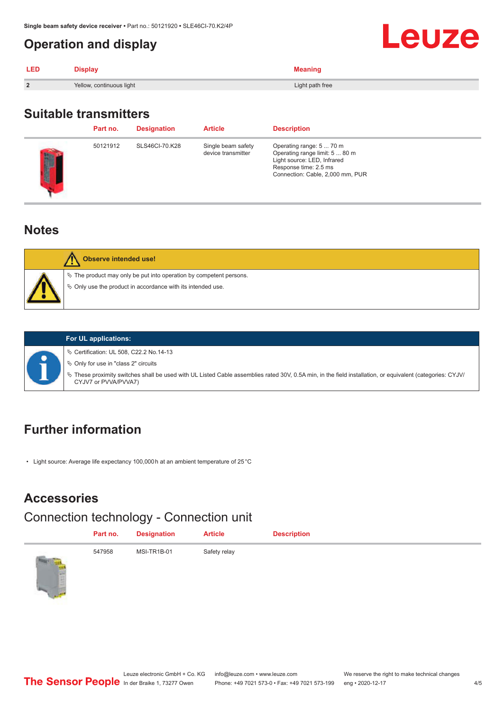#### <span id="page-3-0"></span>**Operation and display**

| <b>LED</b>     | <b>Display</b>           | <b>Meaning</b>  |
|----------------|--------------------------|-----------------|
| $\overline{2}$ | Yellow, continuous light | Light path free |

#### **Suitable transmitters**

|   | Part no. | <b>Designation</b> | <b>Article</b>                           | <b>Description</b>                                                                                                                                     |
|---|----------|--------------------|------------------------------------------|--------------------------------------------------------------------------------------------------------------------------------------------------------|
| I | 50121912 | SLS46CI-70.K28     | Single beam safety<br>device transmitter | Operating range: 5  70 m<br>Operating range limit: 5  80 m<br>Light source: LED, Infrared<br>Response time: 2.5 ms<br>Connection: Cable, 2,000 mm, PUR |

#### **Notes**





#### **For UL applications:** ª Certification: UL 508, C22.2 No.14-13

 $\%$  Only for use in "class 2" circuits

ª These proximity switches shall be used with UL Listed Cable assemblies rated 30V, 0.5A min, in the field installation, or equivalent (categories: CYJV/ CYJV7 or PVVA/PVVA7)

## **Further information**

• Light source: Average life expectancy 100,000 h at an ambient temperature of 25 °C

#### **Accessories**

#### Connection technology - Connection unit

|                              | Part no. | <b>Designation</b> | <b>Article</b> | <b>Description</b> |
|------------------------------|----------|--------------------|----------------|--------------------|
| <b>Control Control</b><br>سي | 547958   | MSI-TR1B-01        | Safety relay   |                    |

Leuze